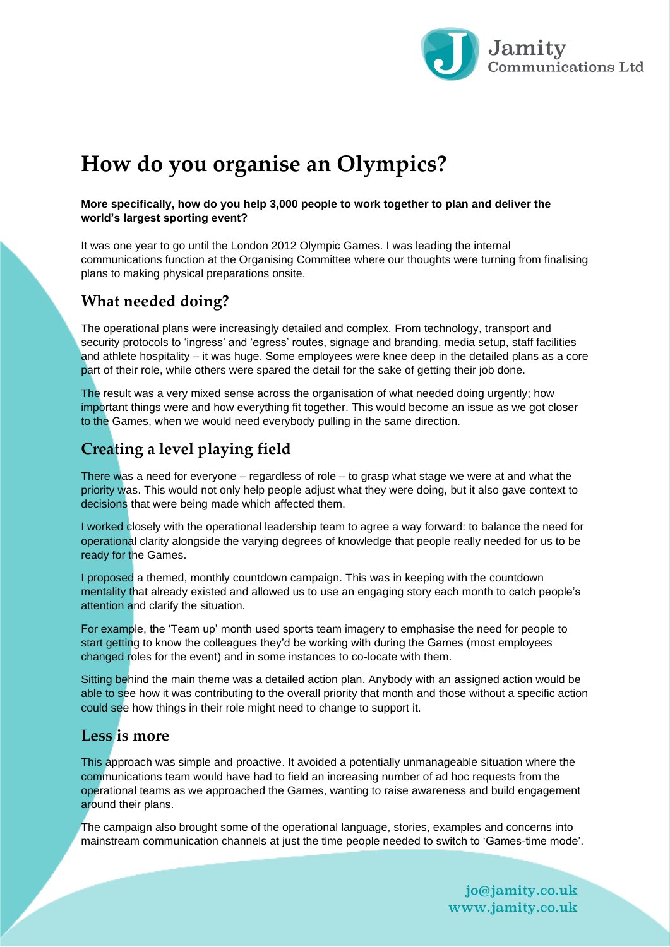

# **How do you organise an Olympics?**

#### **More specifically, how do you help 3,000 people to work together to plan and deliver the world's largest sporting event?**

It was one year to go until the London 2012 Olympic Games. I was leading the internal communications function at the Organising Committee where our thoughts were turning from finalising plans to making physical preparations onsite.

#### **What needed doing?**

The operational plans were increasingly detailed and complex. From technology, transport and security protocols to 'ingress' and 'egress' routes, signage and branding, media setup, staff facilities and athlete hospitality – it was huge. Some employees were knee deep in the detailed plans as a core part of their role, while others were spared the detail for the sake of getting their job done.

The result was a very mixed sense across the organisation of what needed doing urgently; how important things were and how everything fit together. This would become an issue as we got closer to the Games, when we would need everybody pulling in the same direction.

### **Creating a level playing field**

There was a need for everyone – regardless of role – to grasp what stage we were at and what the priority was. This would not only help people adjust what they were doing, but it also gave context to decisions that were being made which affected them.

I worked closely with the operational leadership team to agree a way forward: to balance the need for operational clarity alongside the varying degrees of knowledge that people really needed for us to be ready for the Games.

I proposed a themed, monthly countdown campaign. This was in keeping with the countdown mentality that already existed and allowed us to use an engaging story each month to catch people's attention and clarify the situation.

For example, the 'Team up' month used sports team imagery to emphasise the need for people to start getting to know the colleagues they'd be working with during the Games (most employees changed roles for the event) and in some instances to co-locate with them.

Sitting behind the main theme was a detailed action plan. Anybody with an assigned action would be able to see how it was contributing to the overall priority that month and those without a specific action could see how things in their role might need to change to support it.

#### **Less is more**

This approach was simple and proactive. It avoided a potentially unmanageable situation where the communications team would have had to field an increasing number of ad hoc requests from the operational teams as we approached the Games, wanting to raise awareness and build engagement around their plans.

The campaign also brought some of the operational language, stories, examples and concerns into mainstream communication channels at just the time people needed to switch to 'Games-time mode'.

> [jo@jamity.co.uk](mailto:jo@jamity.co.uk) www.jamity.co.uk